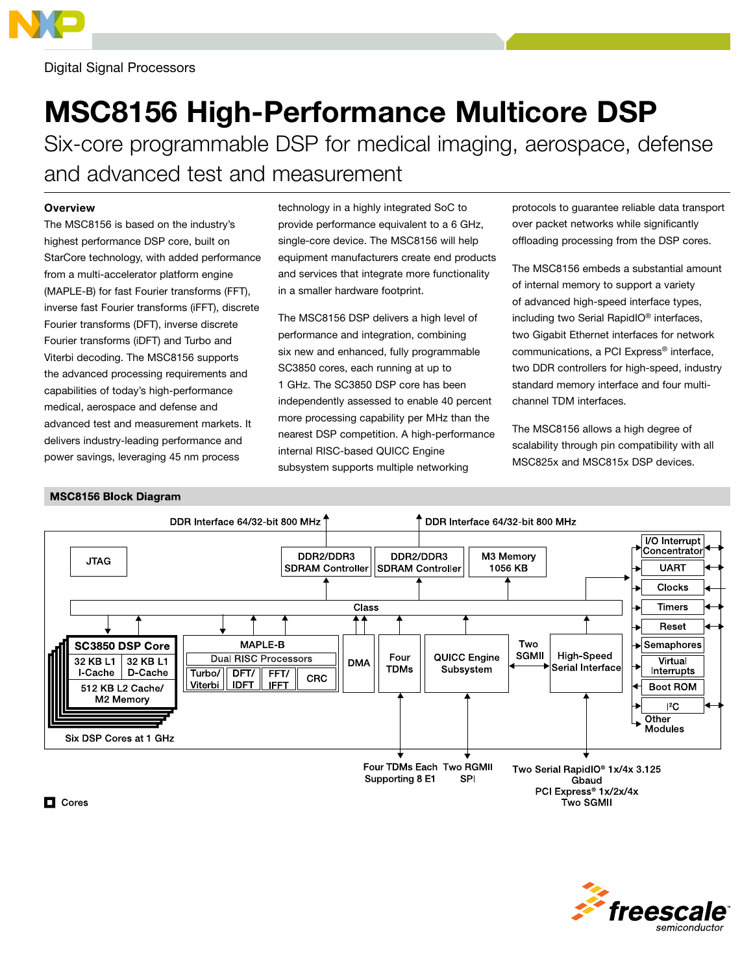

## Digital Signal Processors

# MSC8156 High-Performance Multicore DSP

Six-core programmable DSP for medical imaging, aerospace, defense and advanced test and measurement

### **Overview**

The MSC8156 is based on the industry's highest performance DSP core, built on StarCore technology, with added performance from a multi-accelerator platform engine (MAPLE-B) for fast Fourier transforms (FFT), inverse fast Fourier transforms (iFFT), discrete Fourier transforms (DFT), inverse discrete Fourier transforms (iDFT) and Turbo and Viterbi decoding. The MSC8156 supports the advanced processing requirements and capabilities of today's high-performance medical, aerospace and defense and advanced test and measurement markets. It delivers industry-leading performance and power savings, leveraging 45 nm process

technology in a highly integrated SoC to provide performance equivalent to a 6 GHz, single-core device. The MSC8156 will help equipment manufacturers create end products and services that integrate more functionality in a smaller hardware footprint.

The MSC8156 DSP delivers a high level of performance and integration, combining six new and enhanced, fully programmable SC3850 cores, each running at up to 1 GHz. The SC3850 DSP core has been independently assessed to enable 40 percent more processing capability per MHz than the nearest DSP competition. A high-performance internal RISC-based QUICC Engine subsystem supports multiple networking

protocols to guarantee reliable data transport over packet networks while significantly offloading processing from the DSP cores.

The MSC8156 embeds a substantial amount of internal memory to support a variety of advanced high-speed interface types, including two Serial RapidIO® interfaces, two Gigabit Ethernet interfaces for network communications, a PCI Express® interface, two DDR controllers for high-speed, industry standard memory interface and four multichannel TDM interfaces.

The MSC8156 allows a high degree of scalability through pin compatibility with all MSC825x and MSC815x DSP devices.

### **MSC8156 Block Diagram**





 $\Box$  Cores